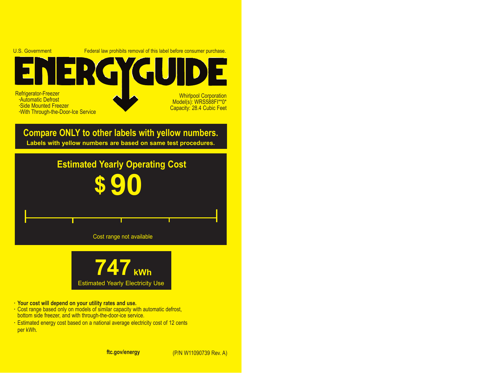

**· Your cost will depend on your utility rates and use.**

- **·** Cost range based only on models of similar capacity with automatic defrost, bottom side freezer, and with through-the-door-ice service.
- **·** Estimated energy cost based on a national average electricity cost of 12 cents per kWh.

**ftc.gov/energy**

(P/N W11090739 Rev. A)